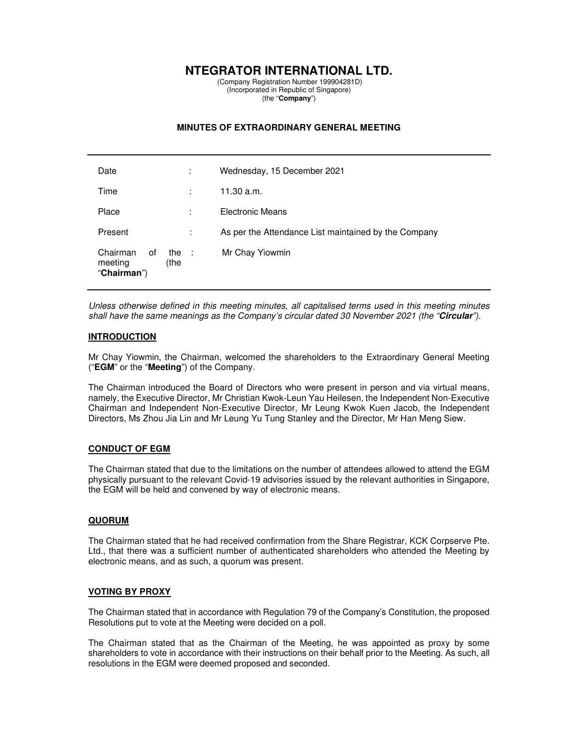# **NTEGRATOR INTERNATIONAL LTD.**

 (Company Registration Number 199904281D) (Incorporated in Republic of Singapore) (the "**Company**")

## **MINUTES OF EXTRAORDINARY GENERAL MEETING**

| Date                                                      | ٠<br>$\blacksquare$ | Wednesday, 15 December 2021                          |
|-----------------------------------------------------------|---------------------|------------------------------------------------------|
| Time                                                      |                     | 11.30 a.m.                                           |
| Place                                                     | :                   | Electronic Means                                     |
| Present                                                   | ÷                   | As per the Attendance List maintained by the Company |
| Chairman<br>0f<br>the :<br>(the<br>meeting<br>"Chairman") |                     | Mr Chay Yiowmin                                      |

Unless otherwise defined in this meeting minutes, all capitalised terms used in this meeting minutes shall have the same meanings as the Company's circular dated 30 November 2021 (the "**Circular**").

### **INTRODUCTION**

Mr Chay Yiowmin, the Chairman, welcomed the shareholders to the Extraordinary General Meeting ("**EGM**" or the "**Meeting**") of the Company.

The Chairman introduced the Board of Directors who were present in person and via virtual means, namely, the Executive Director, Mr Christian Kwok-Leun Yau Heilesen, the Independent Non-Executive Chairman and Independent Non-Executive Director, Mr Leung Kwok Kuen Jacob, the Independent Directors, Ms Zhou Jia Lin and Mr Leung Yu Tung Stanley and the Director, Mr Han Meng Siew.

## **CONDUCT OF EGM**

The Chairman stated that due to the limitations on the number of attendees allowed to attend the EGM physically pursuant to the relevant Covid-19 advisories issued by the relevant authorities in Singapore, the EGM will be held and convened by way of electronic means.

#### **QUORUM**

The Chairman stated that he had received confirmation from the Share Registrar, KCK Corpserve Pte. Ltd., that there was a sufficient number of authenticated shareholders who attended the Meeting by electronic means, and as such, a quorum was present.

#### **VOTING BY PROXY**

The Chairman stated that in accordance with Regulation 79 of the Company's Constitution, the proposed Resolutions put to vote at the Meeting were decided on a poll.

The Chairman stated that as the Chairman of the Meeting, he was appointed as proxy by some shareholders to vote in accordance with their instructions on their behalf prior to the Meeting. As such, all resolutions in the EGM were deemed proposed and seconded.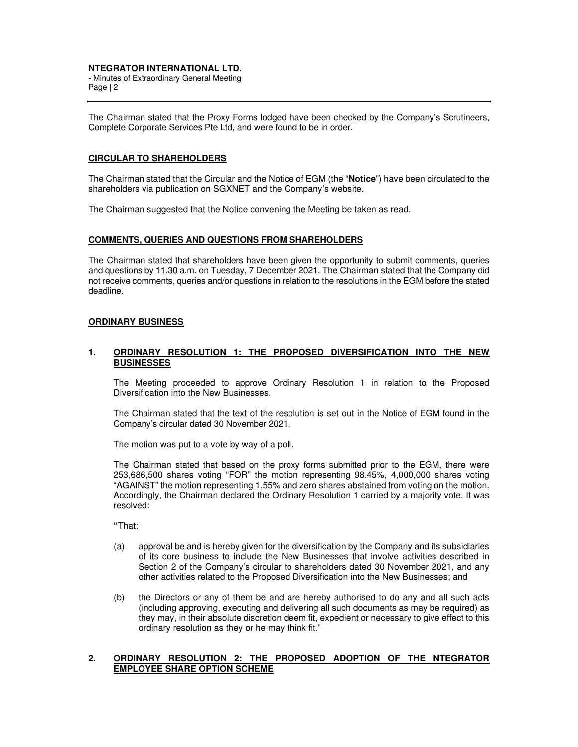## **NTEGRATOR INTERNATIONAL LTD.**

- Minutes of Extraordinary General Meeting Page | 2

The Chairman stated that the Proxy Forms lodged have been checked by the Company's Scrutineers, Complete Corporate Services Pte Ltd, and were found to be in order.

## **CIRCULAR TO SHAREHOLDERS**

The Chairman stated that the Circular and the Notice of EGM (the "**Notice**") have been circulated to the shareholders via publication on SGXNET and the Company's website.

The Chairman suggested that the Notice convening the Meeting be taken as read.

#### **COMMENTS, QUERIES AND QUESTIONS FROM SHAREHOLDERS**

The Chairman stated that shareholders have been given the opportunity to submit comments, queries and questions by 11.30 a.m. on Tuesday, 7 December 2021. The Chairman stated that the Company did not receive comments, queries and/or questions in relation to the resolutions in the EGM before the stated deadline.

#### **ORDINARY BUSINESS**

### **1. ORDINARY RESOLUTION 1: THE PROPOSED DIVERSIFICATION INTO THE NEW BUSINESSES**

The Meeting proceeded to approve Ordinary Resolution 1 in relation to the Proposed Diversification into the New Businesses.

The Chairman stated that the text of the resolution is set out in the Notice of EGM found in the Company's circular dated 30 November 2021.

The motion was put to a vote by way of a poll.

The Chairman stated that based on the proxy forms submitted prior to the EGM, there were 253,686,500 shares voting "FOR" the motion representing 98.45%, 4,000,000 shares voting "AGAINST" the motion representing 1.55% and zero shares abstained from voting on the motion. Accordingly, the Chairman declared the Ordinary Resolution 1 carried by a majority vote. It was resolved:

 **"**That:

- (a) approval be and is hereby given for the diversification by the Company and its subsidiaries of its core business to include the New Businesses that involve activities described in Section 2 of the Company's circular to shareholders dated 30 November 2021, and any other activities related to the Proposed Diversification into the New Businesses; and
- (b) the Directors or any of them be and are hereby authorised to do any and all such acts (including approving, executing and delivering all such documents as may be required) as they may, in their absolute discretion deem fit, expedient or necessary to give effect to this ordinary resolution as they or he may think fit."

#### **2. ORDINARY RESOLUTION 2: THE PROPOSED ADOPTION OF THE NTEGRATOR EMPLOYEE SHARE OPTION SCHEME**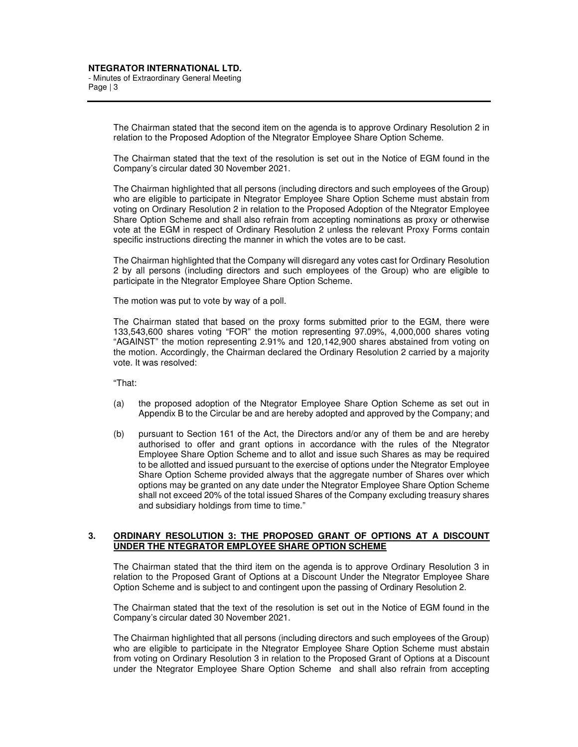The Chairman stated that the second item on the agenda is to approve Ordinary Resolution 2 in relation to the Proposed Adoption of the Ntegrator Employee Share Option Scheme.

The Chairman stated that the text of the resolution is set out in the Notice of EGM found in the Company's circular dated 30 November 2021.

The Chairman highlighted that all persons (including directors and such employees of the Group) who are eligible to participate in Ntegrator Employee Share Option Scheme must abstain from voting on Ordinary Resolution 2 in relation to the Proposed Adoption of the Ntegrator Employee Share Option Scheme and shall also refrain from accepting nominations as proxy or otherwise vote at the EGM in respect of Ordinary Resolution 2 unless the relevant Proxy Forms contain specific instructions directing the manner in which the votes are to be cast.

The Chairman highlighted that the Company will disregard any votes cast for Ordinary Resolution 2 by all persons (including directors and such employees of the Group) who are eligible to participate in the Ntegrator Employee Share Option Scheme.

The motion was put to vote by way of a poll.

The Chairman stated that based on the proxy forms submitted prior to the EGM, there were 133,543,600 shares voting "FOR" the motion representing 97.09%, 4,000,000 shares voting "AGAINST" the motion representing 2.91% and 120,142,900 shares abstained from voting on the motion. Accordingly, the Chairman declared the Ordinary Resolution 2 carried by a majority vote. It was resolved:

"That:

- (a) the proposed adoption of the Ntegrator Employee Share Option Scheme as set out in Appendix B to the Circular be and are hereby adopted and approved by the Company; and
- (b) pursuant to Section 161 of the Act, the Directors and/or any of them be and are hereby authorised to offer and grant options in accordance with the rules of the Ntegrator Employee Share Option Scheme and to allot and issue such Shares as may be required to be allotted and issued pursuant to the exercise of options under the Ntegrator Employee Share Option Scheme provided always that the aggregate number of Shares over which options may be granted on any date under the Ntegrator Employee Share Option Scheme shall not exceed 20% of the total issued Shares of the Company excluding treasury shares and subsidiary holdings from time to time."

#### **3. ORDINARY RESOLUTION 3: THE PROPOSED GRANT OF OPTIONS AT A DISCOUNT UNDER THE NTEGRATOR EMPLOYEE SHARE OPTION SCHEME**

The Chairman stated that the third item on the agenda is to approve Ordinary Resolution 3 in relation to the Proposed Grant of Options at a Discount Under the Ntegrator Employee Share Option Scheme and is subject to and contingent upon the passing of Ordinary Resolution 2.

The Chairman stated that the text of the resolution is set out in the Notice of EGM found in the Company's circular dated 30 November 2021.

The Chairman highlighted that all persons (including directors and such employees of the Group) who are eligible to participate in the Ntegrator Employee Share Option Scheme must abstain from voting on Ordinary Resolution 3 in relation to the Proposed Grant of Options at a Discount under the Ntegrator Employee Share Option Scheme and shall also refrain from accepting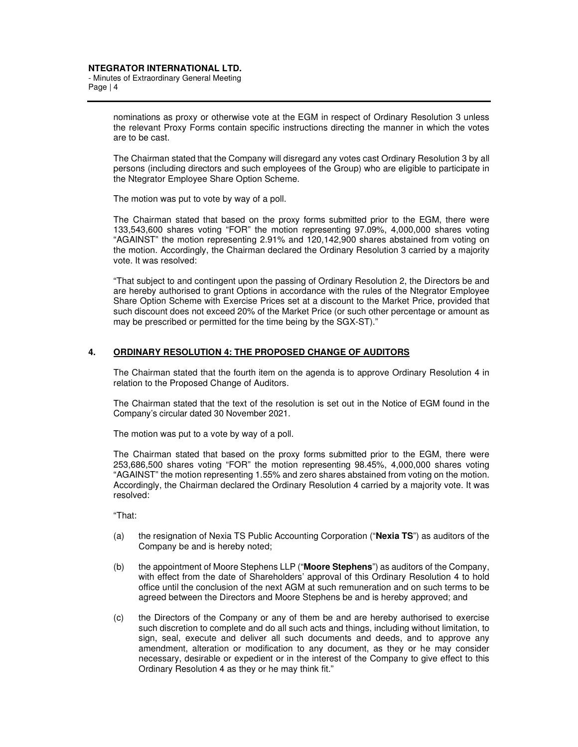- Minutes of Extraordinary General Meeting Page | 4

> nominations as proxy or otherwise vote at the EGM in respect of Ordinary Resolution 3 unless the relevant Proxy Forms contain specific instructions directing the manner in which the votes are to be cast.

> The Chairman stated that the Company will disregard any votes cast Ordinary Resolution 3 by all persons (including directors and such employees of the Group) who are eligible to participate in the Ntegrator Employee Share Option Scheme.

The motion was put to vote by way of a poll.

The Chairman stated that based on the proxy forms submitted prior to the EGM, there were 133,543,600 shares voting "FOR" the motion representing 97.09%, 4,000,000 shares voting "AGAINST" the motion representing 2.91% and 120,142,900 shares abstained from voting on the motion. Accordingly, the Chairman declared the Ordinary Resolution 3 carried by a majority vote. It was resolved:

"That subject to and contingent upon the passing of Ordinary Resolution 2, the Directors be and are hereby authorised to grant Options in accordance with the rules of the Ntegrator Employee Share Option Scheme with Exercise Prices set at a discount to the Market Price, provided that such discount does not exceed 20% of the Market Price (or such other percentage or amount as may be prescribed or permitted for the time being by the SGX-ST)."

### **4. ORDINARY RESOLUTION 4: THE PROPOSED CHANGE OF AUDITORS**

The Chairman stated that the fourth item on the agenda is to approve Ordinary Resolution 4 in relation to the Proposed Change of Auditors.

The Chairman stated that the text of the resolution is set out in the Notice of EGM found in the Company's circular dated 30 November 2021.

The motion was put to a vote by way of a poll.

The Chairman stated that based on the proxy forms submitted prior to the EGM, there were 253,686,500 shares voting "FOR" the motion representing 98.45%, 4,000,000 shares voting "AGAINST" the motion representing 1.55% and zero shares abstained from voting on the motion. Accordingly, the Chairman declared the Ordinary Resolution 4 carried by a majority vote. It was resolved:

"That:

- (a) the resignation of Nexia TS Public Accounting Corporation ("**Nexia TS**") as auditors of the Company be and is hereby noted;
- (b) the appointment of Moore Stephens LLP ("**Moore Stephens**") as auditors of the Company, with effect from the date of Shareholders' approval of this Ordinary Resolution 4 to hold office until the conclusion of the next AGM at such remuneration and on such terms to be agreed between the Directors and Moore Stephens be and is hereby approved; and
- (c) the Directors of the Company or any of them be and are hereby authorised to exercise such discretion to complete and do all such acts and things, including without limitation, to sign, seal, execute and deliver all such documents and deeds, and to approve any amendment, alteration or modification to any document, as they or he may consider necessary, desirable or expedient or in the interest of the Company to give effect to this Ordinary Resolution 4 as they or he may think fit."